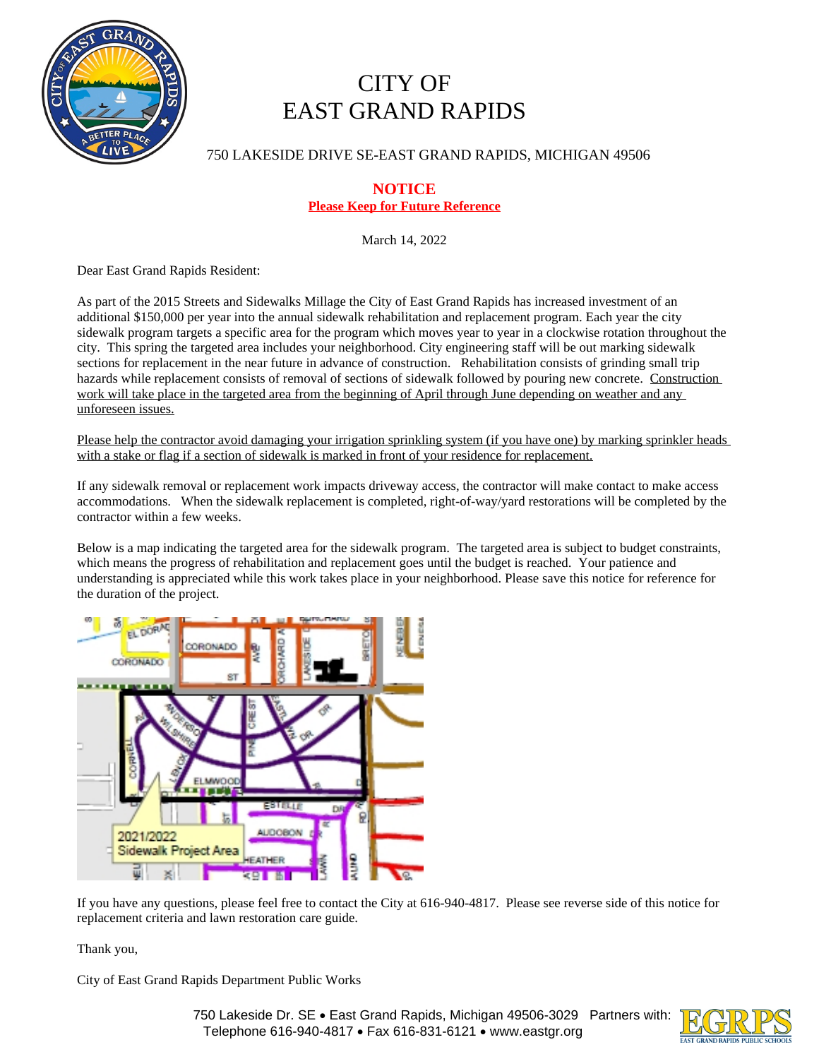

# CITY OF EAST GRAND RAPIDS

750 LAKESIDE DRIVE SE-EAST GRAND RAPIDS, MICHIGAN 49506

# **NOTICE Please Keep for Future Reference**

March 14, 2022

Dear East Grand Rapids Resident:

As part of the 2015 Streets and Sidewalks Millage the City of East Grand Rapids has increased investment of an additional \$150,000 per year into the annual sidewalk rehabilitation and replacement program. Each year the city sidewalk program targets a specific area for the program which moves year to year in a clockwise rotation throughout the city. This spring the targeted area includes your neighborhood. City engineering staff will be out marking sidewalk sections for replacement in the near future in advance of construction. Rehabilitation consists of grinding small trip hazards while replacement consists of removal of sections of sidewalk followed by pouring new concrete. Construction work will take place in the targeted area from the beginning of April through June depending on weather and any unforeseen issues.

Please help the contractor avoid damaging your irrigation sprinkling system (if you have one) by marking sprinkler heads with a stake or flag if a section of sidewalk is marked in front of your residence for replacement.

If any sidewalk removal or replacement work impacts driveway access, the contractor will make contact to make access accommodations. When the sidewalk replacement is completed, right-of-way/yard restorations will be completed by the contractor within a few weeks.

Below is a map indicating the targeted area for the sidewalk program. The targeted area is subject to budget constraints, which means the progress of rehabilitation and replacement goes until the budget is reached. Your patience and understanding is appreciated while this work takes place in your neighborhood. Please save this notice for reference for the duration of the project.



If you have any questions, please feel free to contact the City at 616-940-4817. Please see reverse side of this notice for replacement criteria and lawn restoration care guide.

Thank you,

City of East Grand Rapids Department Public Works

750 Lakeside Dr. SE · East Grand Rapids, Michigan 49506-3029 Partners with: Telephone 616-940-4817 • Fax 616-831-6121 • www.eastgr.org